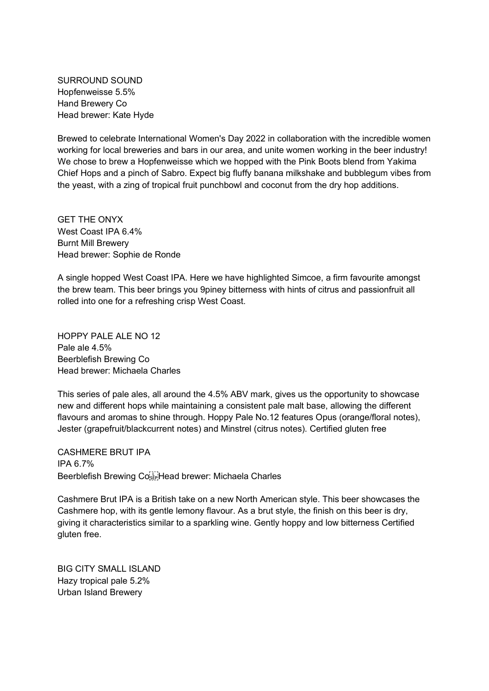SURROUND SOUND Hopfenweisse 5.5% Hand Brewery Co Head brewer: Kate Hyde

Brewed to celebrate International Women's Day 2022 in collaboration with the incredible women working for local breweries and bars in our area, and unite women working in the beer industry! We chose to brew a Hopfenweisse which we hopped with the Pink Boots blend from Yakima Chief Hops and a pinch of Sabro. Expect big fluffy banana milkshake and bubblegum vibes from the yeast, with a zing of tropical fruit punchbowl and coconut from the dry hop additions.

GET THE ONYX West Coast IPA 6.4% Burnt Mill Brewery Head brewer: Sophie de Ronde

A single hopped West Coast IPA. Here we have highlighted Simcoe, a firm favourite amongst the brew team. This beer brings you 9piney bitterness with hints of citrus and passionfruit all rolled into one for a refreshing crisp West Coast.

HOPPY PALE ALE NO 12 Pale ale 4.5% Beerblefish Brewing Co Head brewer: Michaela Charles

This series of pale ales, all around the 4.5% ABV mark, gives us the opportunity to showcase new and different hops while maintaining a consistent pale malt base, allowing the different flavours and aromas to shine through. Hoppy Pale No.12 features Opus (orange/floral notes), Jester (grapefruit/blackcurrent notes) and Minstrel (citrus notes). Certified gluten free

CASHMERE BRUT IPA IPA 6.7% Beerblefish Brewing Cose Head brewer: Michaela Charles

Cashmere Brut IPA is a British take on a new North American style. This beer showcases the Cashmere hop, with its gentle lemony flavour. As a brut style, the finish on this beer is dry, giving it characteristics similar to a sparkling wine. Gently hoppy and low bitterness Certified gluten free.

BIG CITY SMALL ISLAND Hazy tropical pale 5.2% Urban Island Brewery